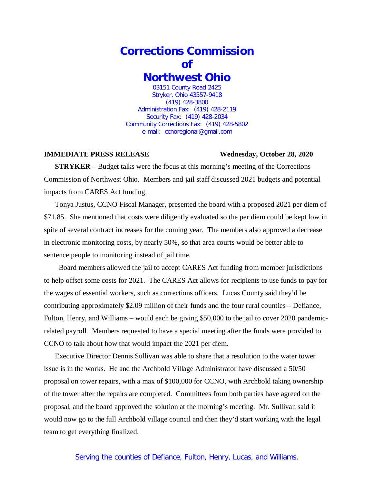## **Corrections Commission of Northwest Ohio** 03151 County Road 2425

Stryker, Ohio 43557-9418 (419) 428-3800 Administration Fax: (419) 428-2119 Security Fax: (419) 428-2034 Community Corrections Fax: (419) 428-5802 e-mail: ccnoregional@gmail.com

## **IMMEDIATE PRESS RELEASE Wednesday, October 28, 2020**

**STRYKER** – Budget talks were the focus at this morning's meeting of the Corrections Commission of Northwest Ohio. Members and jail staff discussed 2021 budgets and potential impacts from CARES Act funding.

Tonya Justus, CCNO Fiscal Manager, presented the board with a proposed 2021 per diem of \$71.85. She mentioned that costs were diligently evaluated so the per diem could be kept low in spite of several contract increases for the coming year. The members also approved a decrease in electronic monitoring costs, by nearly 50%, so that area courts would be better able to sentence people to monitoring instead of jail time.

Board members allowed the jail to accept CARES Act funding from member jurisdictions to help offset some costs for 2021. The CARES Act allows for recipients to use funds to pay for the wages of essential workers, such as corrections officers. Lucas County said they'd be contributing approximately \$2.09 million of their funds and the four rural counties – Defiance, Fulton, Henry, and Williams – would each be giving \$50,000 to the jail to cover 2020 pandemicrelated payroll. Members requested to have a special meeting after the funds were provided to CCNO to talk about how that would impact the 2021 per diem.

Executive Director Dennis Sullivan was able to share that a resolution to the water tower issue is in the works. He and the Archbold Village Administrator have discussed a 50/50 proposal on tower repairs, with a max of \$100,000 for CCNO, with Archbold taking ownership of the tower after the repairs are completed. Committees from both parties have agreed on the proposal, and the board approved the solution at the morning's meeting. Mr. Sullivan said it would now go to the full Archbold village council and then they'd start working with the legal team to get everything finalized.

## Serving the counties of Defiance, Fulton, Henry, Lucas, and Williams.